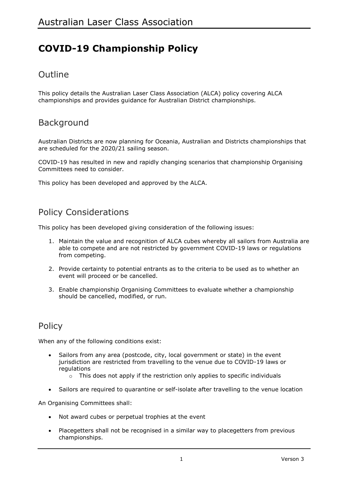# **COVID-19 Championship Policy**

## Outline

This policy details the Australian Laser Class Association (ALCA) policy covering ALCA championships and provides guidance for Australian District championships.

## **Background**

Australian Districts are now planning for Oceania, Australian and Districts championships that are scheduled for the 2020/21 sailing season.

COVID-19 has resulted in new and rapidly changing scenarios that championship Organising Committees need to consider.

This policy has been developed and approved by the ALCA.

#### Policy Considerations

This policy has been developed giving consideration of the following issues:

- 1. Maintain the value and recognition of ALCA cubes whereby all sailors from Australia are able to compete and are not restricted by government COVID-19 laws or regulations from competing.
- 2. Provide certainty to potential entrants as to the criteria to be used as to whether an event will proceed or be cancelled.
- 3. Enable championship Organising Committees to evaluate whether a championship should be cancelled, modified, or run.

## **Policy**

When any of the following conditions exist:

- Sailors from any area (postcode, city, local government or state) in the event jurisdiction are restricted from travelling to the venue due to COVID-19 laws or regulations
	- o This does not apply if the restriction only applies to specific individuals
- Sailors are required to quarantine or self-isolate after travelling to the venue location

An Organising Committees shall:

- Not award cubes or perpetual trophies at the event
- Placegetters shall not be recognised in a similar way to placegetters from previous championships.